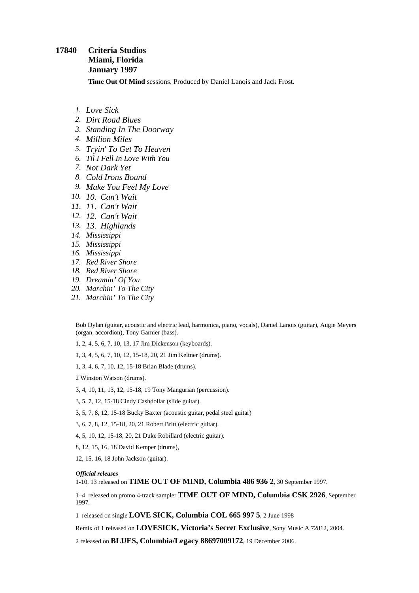## **17840 Criteria Studios Miami, Florida January 1997**

**Time Out Of Mind** sessions. Produced by Daniel Lanois and Jack Frost.

- *1. Love Sick*
- *2. Dirt Road Blues*
- *3. Standing In The Doorway*
- *4. Million Miles*
- *5. Tryin' To Get To Heaven*
- *6. Til I Fell In Love With You*
- *7. Not Dark Yet*
- *8. Cold Irons Bound*
- *9. Make You Feel My Love*
- *10. 10. Can't Wait*
- *11. 11. Can't Wait*
- *12. 12. Can't Wait*
- *13. 13. Highlands*
- *14. Mississippi*
- *15. Mississippi*
- *16. Mississippi*
- *17. Red River Shore*
- *18. Red River Shore*
- *19. Dreamin' Of You*
- *20. Marchin' To The City*
- *21. Marchin' To The City*

Bob Dylan (guitar, acoustic and electric lead, harmonica, piano, vocals), Daniel Lanois (guitar), Augie Meyers (organ, accordion), Tony Garnier (bass).

1, 2, 4, 5, 6, 7, 10, 13, 17 Jim Dickenson (keyboards).

1, 3, 4, 5, 6, 7, 10, 12, 15-18, 20, 21 Jim Keltner (drums).

1, 3, 4, 6, 7, 10, 12, 15-18 Brian Blade (drums).

2 Winston Watson (drums).

3, 4, 10, 11, 13, 12, 15-18, 19 Tony Mangurian (percussion).

3, 5, 7, 12, 15-18 Cindy Cashdollar (slide guitar).

3, 5, 7, 8, 12, 15-18 Bucky Baxter (acoustic guitar, pedal steel guitar)

3, 6, 7, 8, 12, 15-18, 20, 21 Robert Britt (electric guitar).

4, 5, 10, 12, 15-18, 20, 21 Duke Robillard (electric guitar).

8, 12, 15, 16, 18 David Kemper (drums),

12, 15, 16, 18 John Jackson (guitar).

## *Official releases*

1-10, 13 released on **TIME OUT OF MIND, Columbia 486 936 2**, 30 September 1997.

1–4 released on promo 4-track sampler **TIME OUT OF MIND, Columbia CSK 2926**, September 1997.

1 released on single **LOVE SICK, Columbia COL 665 997 5**, 2 June 1998

Remix of 1 released on **LOVESICK, Victoria's Secret Exclusive**, Sony Music A 72812, 2004.

2 released on **BLUES, Columbia/Legacy 88697009172**, 19 December 2006.